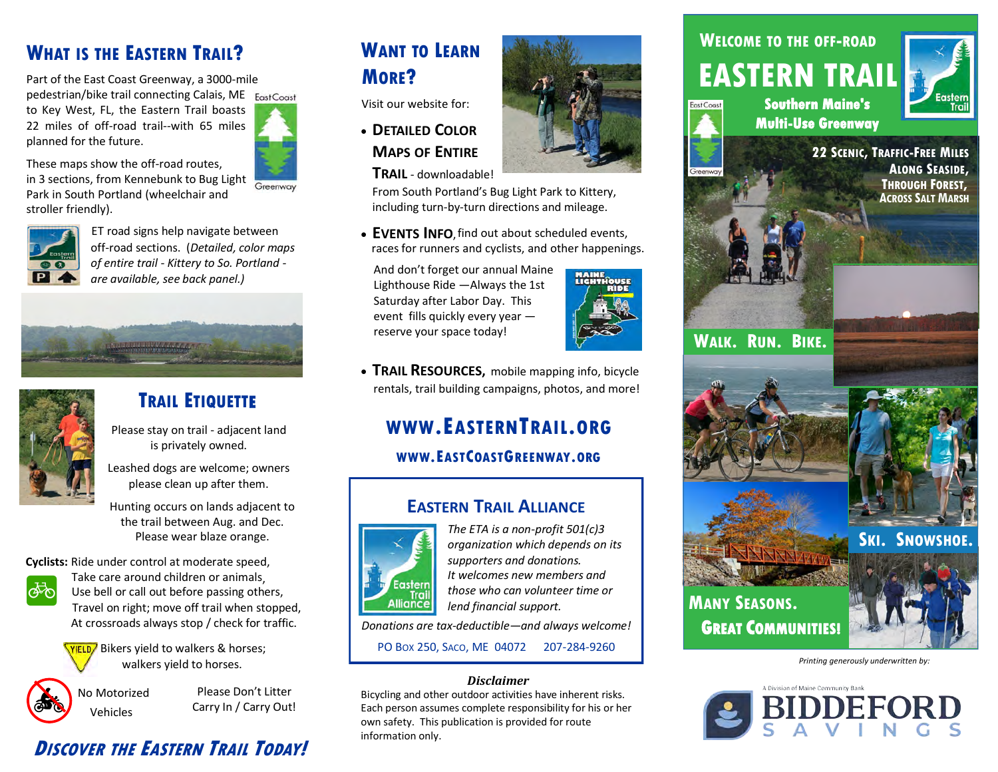#### **WHAT IS THE EASTERN TRAIL? WHAT IS THE EASTERN TRAIL? WHAT IS THE EASTERN TRAIL?**

Part of the East Coast Greenway, a 3000-mile Part of the East Coast Greenway, a 3000-mile Part of the East Coast Greenway, a 3000-mile pedestrian/bike trail connecting Calais, ME pedestrian/bike trail connecting Calais, ME pedestrian/bike trail connecting Calais, ME to Key West, FL, the Eastern Trail boasts 22 miles of off-road trail--with 65 miles planned for the future.

These maps show the off-road routes, in 3 sections, from Kennebunk to Bug Light Park in South Portland (wheelchair and stroller friendly).  $\mathbb{E}[H]$  $\mathbb{E}$  road signs help navigate between  $\mathbb{E}$ 



ET road signs help navigate between off-road sections. (*Detailed, color maps* off-road sections. (*Detailed, color maps* off-road sections. (*Detailed, color maps of entire trail - Kittery to So. Portland - of entire trail - Kittery to So. Portland of entire trail - Kittery to So. Portland are available, see back panel.)*

## **TRAIL ETIQUETTE TRAIL ETIQUETTE TRAIL ETIQUETTE**

Please stay on trail - adjacent land is privately owned. stay on trail - adjac tay on trail - adjace



Leashed dogs are welcome; owners Leashed dogs are welcome; owners

Leashed dogs are welcome; owners please clean up after them.

Hunting occurs on lands adjacent to the trail between Aug. and Dec. Please wear blaze orange.

Please wear blaze orange.<br>**Cyclists:** Ride under control at moderate speed,



Take care around children or animals, Use bell or call out before passing others, Travel on right; move off trail when stopped, walkers on hydrogens yield to their missistepped.<br>At crossroads always stop / check for traffic.



**WIELD** Bikers yield to walkers & horses;<br>
Walkers yield to horses.  $\mathsf{W}$  walkers yield to horses.



Please Don't Litter<br>Carry In / Carry Out!

#### **<sup>D</sup>ISCOVER THE <sup>E</sup>ASTERN <sup>T</sup>RAIL <sup>T</sup>ODAY!**

#### **WANT TO LEARN WANT TO LEARN WANT TO LEARN MORE? MORE? MORE?**

Visit our website for:

 **DETAILED COLOR DETAILED COLOR DETAILED COLOR MAPS OF ENTIRE MAPS OF ENTIRE MAPS OF ENTIRE**

**TRAIL** - downloadable! **TRAIL** - downloadable! **TRAIL** - downloadable!

From South Portland's Bug Light Park to Kittery, From South Portland's Bug Light Park to Kittery, From South Portland's Bug Light Park to Kittery, including turn-by-turn directions and mileage. including turn-by-turn directions and mileage. including turn-by-turn directions and mileage.

 $\bullet$  **EVENTS INFO**, find out about scheduled events, races for runners and cyclists, and other happenings.

And don't forget our annual Maine Lighthouse Ride —Always the 1st Saturday after Labor Day. This event fills quickly every year  $$ reserve your space today! year — reserve your space today! year — reserve your space today!



**• TRAIL RESOURCES,** mobile mapping info, bicycle rentals, trail building campaigns, photos, and more!

## **WWW.EASTERNTRAIL.ORG WWW.EASTERNTRAIL.ORG WWW.EASTERNTRAIL.ORG**

### **WWW.EASTCOASTGREENWAY.ORG WWW.EASTCOASTGREENWAY.ORG WWW.EASTCOASTGREENWAY.ORG**

#### **EASTERN TRAIL ALLIANCE EASTERN TRAIL ALLIANCE EASTERN TRAIL ALLIANCE**



*The ETA is a non-profit 501(c)3 The ETA is a non-profit 501(c)3 The ETA is a non-profit 501(c)3 organization which depends on its organization which depends on its organization which depends on its supporters and donations. supporters and donations. supporters and donations. It welcomes new members and It welcomes new members and It welcomes new members and those who can volunteer time or those who can volunteer time or those who can volunteer time or lend financial support. lend financial support. lend financial support.*

*Donations are tax-deductible—and always welcome! Donations are tax-deductible—and always welcome! Donations are tax-deductible—and always welcome!*

PO BOX 250, SACO, ME 04072 207-284-9260 PO BOX 250, SACO, ME 04072 207-284-9260 PO BOX 250, SACO, ME 04072 207-284-9260

#### *Disclaimer Disclaimer Disclaimer*

Bicycling and other outdoor activities have inherent risks. Bicycling and other outdoor activities have inherent risks. Bicycling and other outdoor activities have inherent risks. Each person assumes complete responsibility for his or her Each person assumes complete responsibility for his or her Each person assumes complete responsibility for his or her own safety. This publication is provided for route information only.



## **WELCOME TO THE OFF-ROAD WELCOME TO THE OFF-ROAD WELCOME TO THE OFF-ROAD EASTERN TRAIL EASTERN TRAIL EASTERN TRAIL**



cost Coast

**22 SCENIC, TRAFFIC-FREE MILES 22 SCENIC, TRAFFIC-FREE MILES 22 SCENIC, TRAFFIC-FREE MILES ALONG SEASIDE, ALONG SEASIDE, THROUGH FOREST, ALONG SEASIDE, THROUGH <sup>F</sup>OREST, THROUGH FOREST,**  $\blacktriangle$  **ACROSS SALT MARSH** 



**WALK. RUN. BIKE. WALK. RUN. BIKE. WALK. RUN. BIKE.**







**MANY SEASONS. MANY SEASONS. GREAT COMMUNITIES!** 



*Printing generously underwritten by: Printing generously underwritten by: Printing generously underwritten by:*